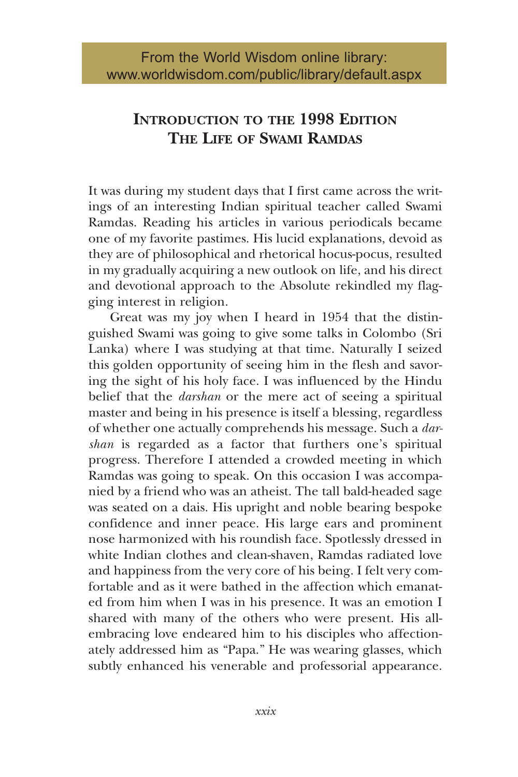From the World Wisdom online library: www.worldwisdom.com/public/library/default.aspx

# **INTRODUCTION TO THE 1998 EDITION THE LIFE OF SWAMI RAMDAS**

It was during my student days that I first came across the writings of an interesting Indian spiritual teacher called Swami Ramdas. Reading his articles in various periodicals became one of my favorite pastimes. His lucid explanations, devoid as they are of philosophical and rhetorical hocus-pocus, resulted in my gradually acquiring a new outlook on life, and his direct and devotional approach to the Absolute rekindled my flagging interest in religion.

Great was my joy when I heard in 1954 that the distinguished Swami was going to give some talks in Colombo (Sri Lanka) where I was studying at that time. Naturally I seized this golden opportunity of seeing him in the flesh and savoring the sight of his holy face. I was influenced by the Hindu belief that the *darshan* or the mere act of seeing a spiritual master and being in his presence is itself a blessing, regardless of whether one actually comprehends his message. Such a *darshan* is regarded as a factor that furthers one's spiritual progress. Therefore I attended a crowded meeting in which Ramdas was going to speak. On this occasion I was accompanied by a friend who was an atheist. The tall bald-headed sage was seated on a dais. His upright and noble bearing bespoke confidence and inner peace. His large ears and prominent nose harmonized with his roundish face. Spotlessly dressed in white Indian clothes and clean-shaven, Ramdas radiated love and happiness from the very core of his being. I felt very comfortable and as it were bathed in the affection which emanated from him when I was in his presence. It was an emotion I shared with many of the others who were present. His allembracing love endeared him to his disciples who affectionately addressed him as "Papa." He was wearing glasses, which subtly enhanced his venerable and professorial appearance.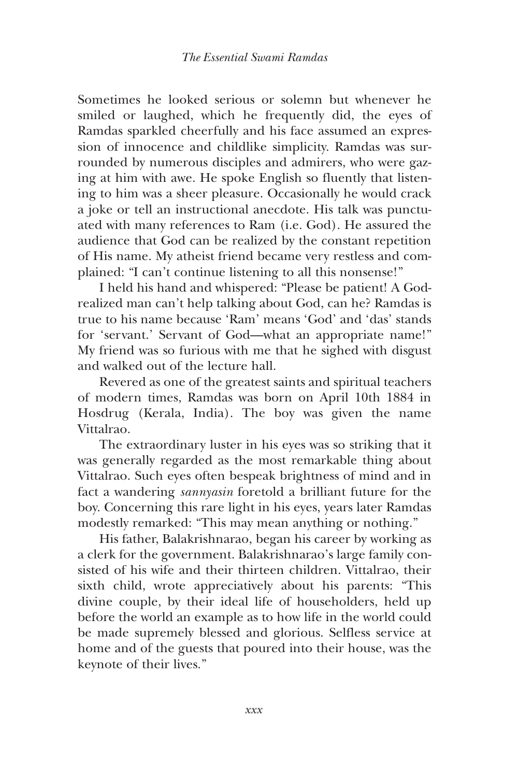Sometimes he looked serious or solemn but whenever he smiled or laughed, which he frequently did, the eyes of Ramdas sparkled cheerfully and his face assumed an expression of innocence and childlike simplicity. Ramdas was surrounded by numerous disciples and admirers, who were gazing at him with awe. He spoke English so fluently that listening to him was a sheer pleasure. Occasionally he would crack a joke or tell an instructional anecdote. His talk was punctuated with many references to Ram (i.e. God). He assured the audience that God can be realized by the constant repetition of His name. My atheist friend became very restless and complained: "I can't continue listening to all this nonsense!"

I held his hand and whispered: "Please be patient! A Godrealized man can't help talking about God, can he? Ramdas is true to his name because 'Ram' means 'God' and 'das' stands for 'servant.' Servant of God—what an appropriate name!" My friend was so furious with me that he sighed with disgust and walked out of the lecture hall.

Revered as one of the greatest saints and spiritual teachers of modern times, Ramdas was born on April 10th 1884 in Hosdrug (Kerala, India). The boy was given the name Vittalrao.

The extraordinary luster in his eyes was so striking that it was generally regarded as the most remarkable thing about Vittalrao. Such eyes often bespeak brightness of mind and in fact a wandering *sannyasin* foretold a brilliant future for the boy. Concerning this rare light in his eyes, years later Ramdas modestly remarked: "This may mean anything or nothing."

His father, Balakrishnarao, began his career by working as a clerk for the government. Balakrishnarao's large family consisted of his wife and their thirteen children. Vittalrao, their sixth child, wrote appreciatively about his parents: "This divine couple, by their ideal life of householders, held up before the world an example as to how life in the world could be made supremely blessed and glorious. Selfless service at home and of the guests that poured into their house, was the keynote of their lives."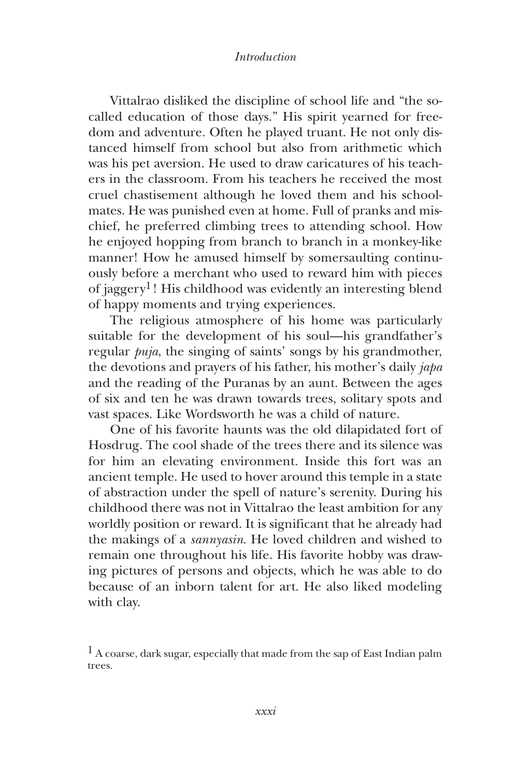Vittalrao disliked the discipline of school life and "the socalled education of those days." His spirit yearned for freedom and adventure. Often he played truant. He not only distanced himself from school but also from arithmetic which was his pet aversion. He used to draw caricatures of his teachers in the classroom. From his teachers he received the most cruel chastisement although he loved them and his schoolmates. He was punished even at home. Full of pranks and mischief, he preferred climbing trees to attending school. How he enjoyed hopping from branch to branch in a monkey-like manner! How he amused himself by somersaulting continuously before a merchant who used to reward him with pieces of jaggery1 ! His childhood was evidently an interesting blend of happy moments and trying experiences.

The religious atmosphere of his home was particularly suitable for the development of his soul—his grandfather's regular *puja*, the singing of saints' songs by his grandmother, the devotions and prayers of his father, his mother's daily *japa*  and the reading of the Puranas by an aunt. Between the ages of six and ten he was drawn towards trees, solitary spots and vast spaces. Like Wordsworth he was a child of nature.

One of his favorite haunts was the old dilapidated fort of Hosdrug. The cool shade of the trees there and its silence was for him an elevating environment. Inside this fort was an ancient temple. He used to hover around this temple in a state of abstraction under the spell of nature's serenity. During his childhood there was not in Vittalrao the least ambition for any worldly position or reward. It is significant that he already had the makings of a *sannyasin*. He loved children and wished to remain one throughout his life. His favorite hobby was drawing pictures of persons and objects, which he was able to do because of an inborn talent for art. He also liked modeling with clay.

 $<sup>1</sup>$  A coarse, dark sugar, especially that made from the sap of East Indian palm</sup> trees.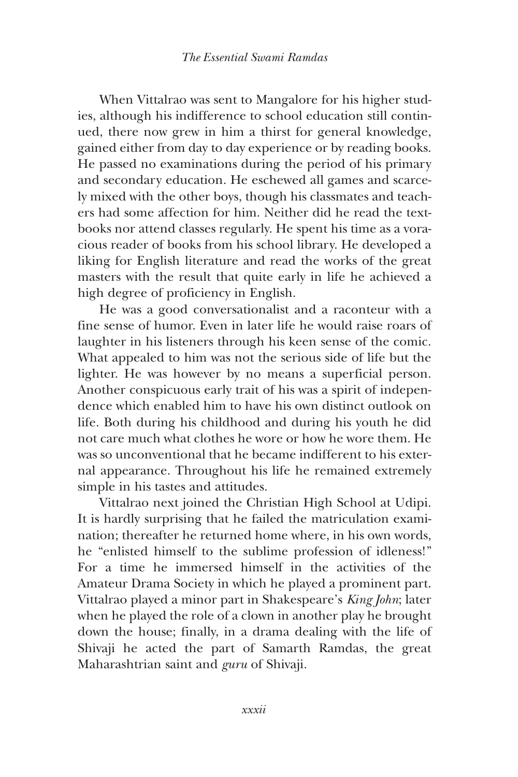When Vittalrao was sent to Mangalore for his higher studies, although his indifference to school education still continued, there now grew in him a thirst for general knowledge, gained either from day to day experience or by reading books. He passed no examinations during the period of his primary and secondary education. He eschewed all games and scarcely mixed with the other boys, though his classmates and teachers had some affection for him. Neither did he read the textbooks nor attend classes regularly. He spent his time as a voracious reader of books from his school library. He developed a liking for English literature and read the works of the great masters with the result that quite early in life he achieved a high degree of proficiency in English.

He was a good conversationalist and a raconteur with a fine sense of humor. Even in later life he would raise roars of laughter in his listeners through his keen sense of the comic. What appealed to him was not the serious side of life but the lighter. He was however by no means a superficial person. Another conspicuous early trait of his was a spirit of independence which enabled him to have his own distinct outlook on life. Both during his childhood and during his youth he did not care much what clothes he wore or how he wore them. He was so unconventional that he became indifferent to his external appearance. Throughout his life he remained extremely simple in his tastes and attitudes.

Vittalrao next joined the Christian High School at Udipi. It is hardly surprising that he failed the matriculation examination; thereafter he returned home where, in his own words, he "enlisted himself to the sublime profession of idleness!" For a time he immersed himself in the activities of the Amateur Drama Society in which he played a prominent part. Vittalrao played a minor part in Shakespeare's *King John*; later when he played the role of a clown in another play he brought down the house; finally, in a drama dealing with the life of Shivaji he acted the part of Samarth Ramdas, the great Maharashtrian saint and *guru* of Shivaji.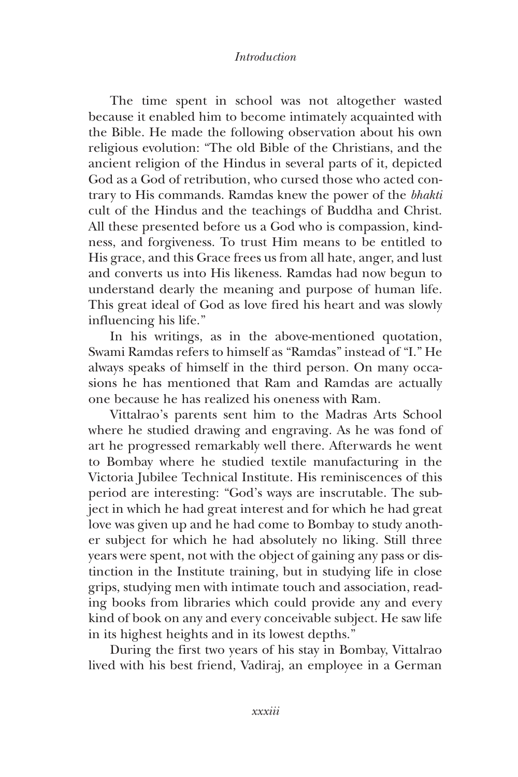The time spent in school was not altogether wasted because it enabled him to become intimately acquainted with the Bible. He made the following observation about his own religious evolution: "The old Bible of the Christians, and the ancient religion of the Hindus in several parts of it, depicted God as a God of retribution, who cursed those who acted contrary to His commands. Ramdas knew the power of the *bhakti*  cult of the Hindus and the teachings of Buddha and Christ. All these presented before us a God who is compassion, kindness, and forgiveness. To trust Him means to be entitled to His grace, and this Grace frees us from all hate, anger, and lust and converts us into His likeness. Ramdas had now begun to understand dearly the meaning and purpose of human life. This great ideal of God as love fired his heart and was slowly influencing his life."

In his writings, as in the above-mentioned quotation, Swami Ramdas refers to himself as "Ramdas" instead of "I." He always speaks of himself in the third person. On many occasions he has mentioned that Ram and Ramdas are actually one because he has realized his oneness with Ram.

Vittalrao's parents sent him to the Madras Arts School where he studied drawing and engraving. As he was fond of art he progressed remarkably well there. Afterwards he went to Bombay where he studied textile manufacturing in the Victoria Jubilee Technical Institute. His reminiscences of this period are interesting: "God's ways are inscrutable. The subject in which he had great interest and for which he had great love was given up and he had come to Bombay to study another subject for which he had absolutely no liking. Still three years were spent, not with the object of gaining any pass or distinction in the Institute training, but in studying life in close grips, studying men with intimate touch and association, reading books from libraries which could provide any and every kind of book on any and every conceivable subject. He saw life in its highest heights and in its lowest depths."

During the first two years of his stay in Bombay, Vittalrao lived with his best friend, Vadiraj, an employee in a German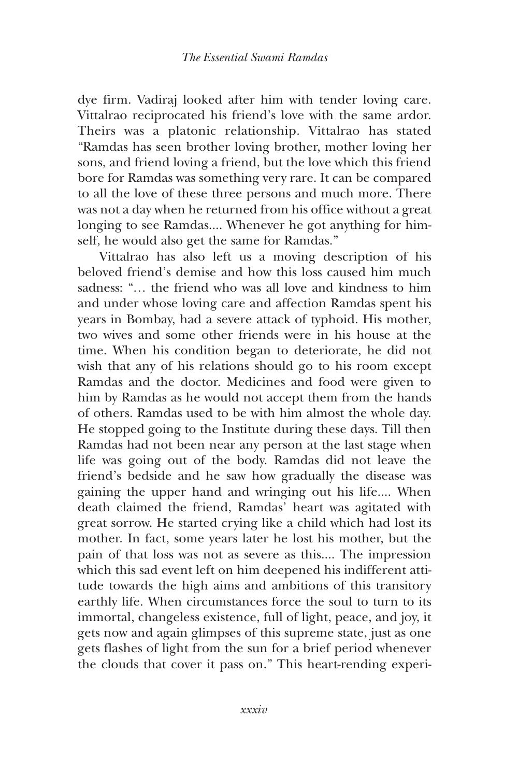dye firm. Vadiraj looked after him with tender loving care. Vittalrao reciprocated his friend's love with the same ardor. Theirs was a platonic relationship. Vittalrao has stated "Ramdas has seen brother loving brother, mother loving her sons, and friend loving a friend, but the love which this friend bore for Ramdas was something very rare. It can be compared to all the love of these three persons and much more. There was not a day when he returned from his office without a great longing to see Ramdas.... Whenever he got anything for himself, he would also get the same for Ramdas."

Vittalrao has also left us a moving description of his beloved friend's demise and how this loss caused him much sadness: "… the friend who was all love and kindness to him and under whose loving care and affection Ramdas spent his years in Bombay, had a severe attack of typhoid. His mother, two wives and some other friends were in his house at the time. When his condition began to deteriorate, he did not wish that any of his relations should go to his room except Ramdas and the doctor. Medicines and food were given to him by Ramdas as he would not accept them from the hands of others. Ramdas used to be with him almost the whole day. He stopped going to the Institute during these days. Till then Ramdas had not been near any person at the last stage when life was going out of the body. Ramdas did not leave the friend's bedside and he saw how gradually the disease was gaining the upper hand and wringing out his life.... When death claimed the friend, Ramdas' heart was agitated with great sorrow. He started crying like a child which had lost its mother. In fact, some years later he lost his mother, but the pain of that loss was not as severe as this.... The impression which this sad event left on him deepened his indifferent attitude towards the high aims and ambitions of this transitory earthly life. When circumstances force the soul to turn to its immortal, changeless existence, full of light, peace, and joy, it gets now and again glimpses of this supreme state, just as one gets flashes of light from the sun for a brief period whenever the clouds that cover it pass on." This heart-rending experi-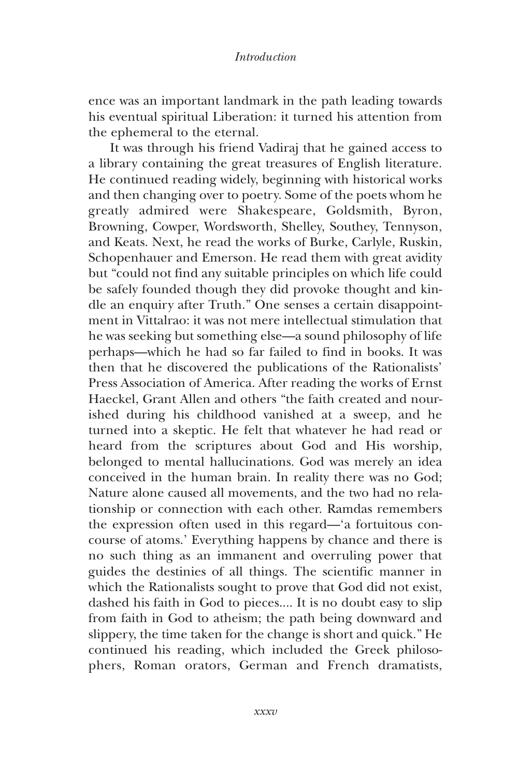ence was an important landmark in the path leading towards his eventual spiritual Liberation: it turned his attention from the ephemeral to the eternal.

It was through his friend Vadiraj that he gained access to a library containing the great treasures of English literature. He continued reading widely, beginning with historical works and then changing over to poetry. Some of the poets whom he greatly admired were Shakespeare, Goldsmith, Byron, Browning, Cowper, Wordsworth, Shelley, Southey, Tennyson, and Keats. Next, he read the works of Burke, Carlyle, Ruskin, Schopenhauer and Emerson. He read them with great avidity but "could not find any suitable principles on which life could be safely founded though they did provoke thought and kindle an enquiry after Truth." One senses a certain disappointment in Vittalrao: it was not mere intellectual stimulation that he was seeking but something else—a sound philosophy of life perhaps—which he had so far failed to find in books. It was then that he discovered the publications of the Rationalists' Press Association of America. After reading the works of Ernst Haeckel, Grant Allen and others "the faith created and nourished during his childhood vanished at a sweep, and he turned into a skeptic. He felt that whatever he had read or heard from the scriptures about God and His worship, belonged to mental hallucinations. God was merely an idea conceived in the human brain. In reality there was no God; Nature alone caused all movements, and the two had no relationship or connection with each other. Ramdas remembers the expression often used in this regard—'a fortuitous concourse of atoms.' Everything happens by chance and there is no such thing as an immanent and overruling power that guides the destinies of all things. The scientific manner in which the Rationalists sought to prove that God did not exist, dashed his faith in God to pieces.... It is no doubt easy to slip from faith in God to atheism; the path being downward and slippery, the time taken for the change is short and quick." He continued his reading, which included the Greek philosophers, Roman orators, German and French dramatists,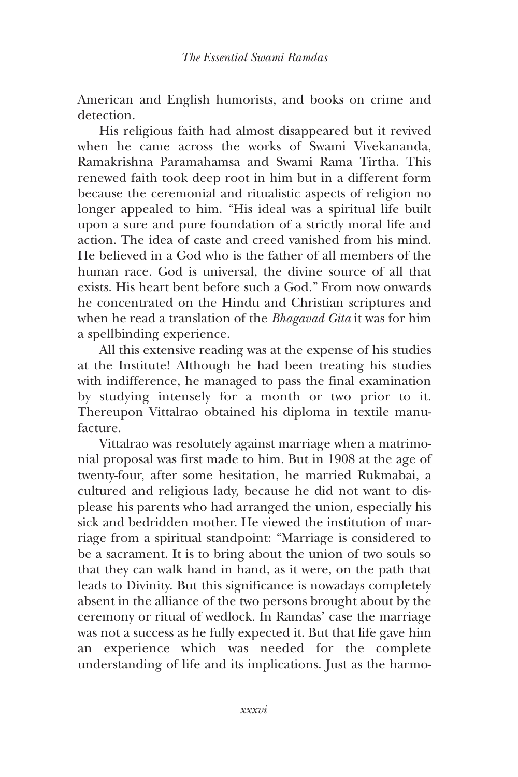American and English humorists, and books on crime and detection.

His religious faith had almost disappeared but it revived when he came across the works of Swami Vivekananda, Ramakrishna Paramahamsa and Swami Rama Tirtha. This renewed faith took deep root in him but in a different form because the ceremonial and ritualistic aspects of religion no longer appealed to him. "His ideal was a spiritual life built upon a sure and pure foundation of a strictly moral life and action. The idea of caste and creed vanished from his mind. He believed in a God who is the father of all members of the human race. God is universal, the divine source of all that exists. His heart bent before such a God." From now onwards he concentrated on the Hindu and Christian scriptures and when he read a translation of the *Bhagavad Gita* it was for him a spellbinding experience.

All this extensive reading was at the expense of his studies at the Institute! Although he had been treating his studies with indifference, he managed to pass the final examination by studying intensely for a month or two prior to it. Thereupon Vittalrao obtained his diploma in textile manufacture.

Vittalrao was resolutely against marriage when a matrimonial proposal was first made to him. But in 1908 at the age of twenty-four, after some hesitation, he married Rukmabai, a cultured and religious lady, because he did not want to displease his parents who had arranged the union, especially his sick and bedridden mother. He viewed the institution of marriage from a spiritual standpoint: "Marriage is considered to be a sacrament. It is to bring about the union of two souls so that they can walk hand in hand, as it were, on the path that leads to Divinity. But this significance is nowadays completely absent in the alliance of the two persons brought about by the ceremony or ritual of wedlock. In Ramdas' case the marriage was not a success as he fully expected it. But that life gave him an experience which was needed for the complete understanding of life and its implications. Just as the harmo-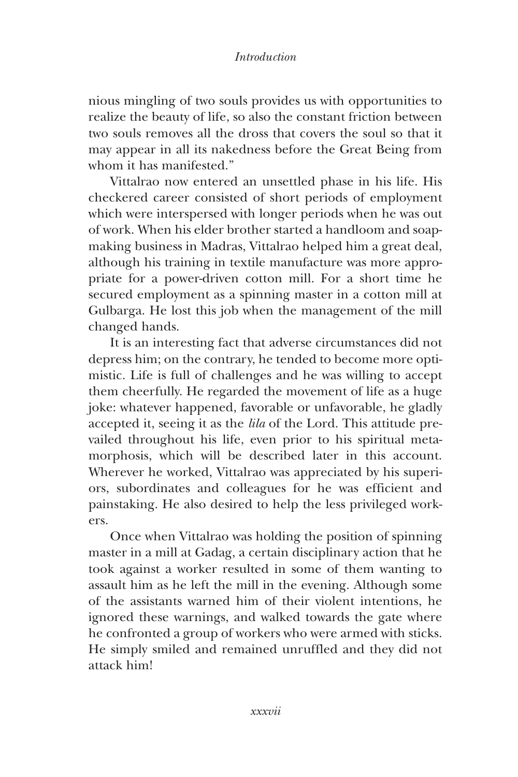nious mingling of two souls provides us with opportunities to realize the beauty of life, so also the constant friction between two souls removes all the dross that covers the soul so that it may appear in all its nakedness before the Great Being from whom it has manifested."

Vittalrao now entered an unsettled phase in his life. His checkered career consisted of short periods of employment which were interspersed with longer periods when he was out of work. When his elder brother started a handloom and soapmaking business in Madras, Vittalrao helped him a great deal, although his training in textile manufacture was more appropriate for a power-driven cotton mill. For a short time he secured employment as a spinning master in a cotton mill at Gulbarga. He lost this job when the management of the mill changed hands.

It is an interesting fact that adverse circumstances did not depress him; on the contrary, he tended to become more optimistic. Life is full of challenges and he was willing to accept them cheerfully. He regarded the movement of life as a huge joke: whatever happened, favorable or unfavorable, he gladly accepted it, seeing it as the *lila* of the Lord. This attitude prevailed throughout his life, even prior to his spiritual metamorphosis, which will be described later in this account. Wherever he worked, Vittalrao was appreciated by his superiors, subordinates and colleagues for he was efficient and painstaking. He also desired to help the less privileged workers.

Once when Vittalrao was holding the position of spinning master in a mill at Gadag, a certain disciplinary action that he took against a worker resulted in some of them wanting to assault him as he left the mill in the evening. Although some of the assistants warned him of their violent intentions, he ignored these warnings, and walked towards the gate where he confronted a group of workers who were armed with sticks. He simply smiled and remained unruffled and they did not attack him!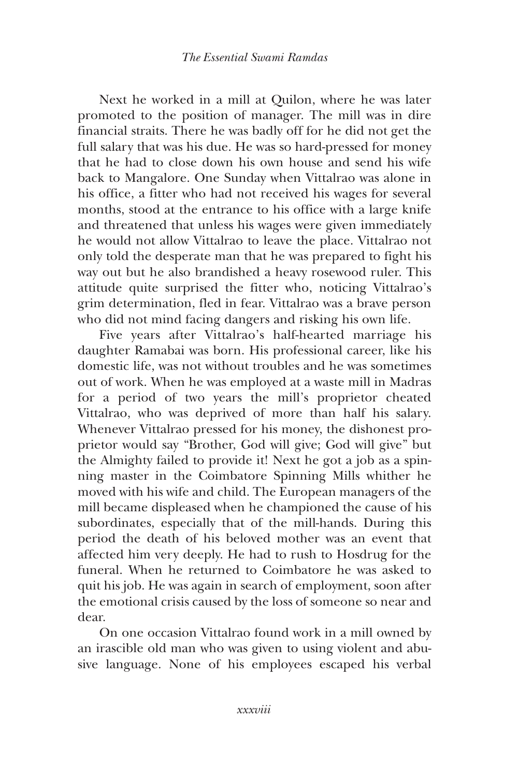Next he worked in a mill at Quilon, where he was later promoted to the position of manager. The mill was in dire financial straits. There he was badly off for he did not get the full salary that was his due. He was so hard-pressed for money that he had to close down his own house and send his wife back to Mangalore. One Sunday when Vittalrao was alone in his office, a fitter who had not received his wages for several months, stood at the entrance to his office with a large knife and threatened that unless his wages were given immediately he would not allow Vittalrao to leave the place. Vittalrao not only told the desperate man that he was prepared to fight his way out but he also brandished a heavy rosewood ruler. This attitude quite surprised the fitter who, noticing Vittalrao's grim determination, fled in fear. Vittalrao was a brave person who did not mind facing dangers and risking his own life.

Five years after Vittalrao's half-hearted marriage his daughter Ramabai was born. His professional career, like his domestic life, was not without troubles and he was sometimes out of work. When he was employed at a waste mill in Madras for a period of two years the mill's proprietor cheated Vittalrao, who was deprived of more than half his salary. Whenever Vittalrao pressed for his money, the dishonest proprietor would say "Brother, God will give; God will give" but the Almighty failed to provide it! Next he got a job as a spinning master in the Coimbatore Spinning Mills whither he moved with his wife and child. The European managers of the mill became displeased when he championed the cause of his subordinates, especially that of the mill-hands. During this period the death of his beloved mother was an event that affected him very deeply. He had to rush to Hosdrug for the funeral. When he returned to Coimbatore he was asked to quit his job. He was again in search of employment, soon after the emotional crisis caused by the loss of someone so near and dear.

On one occasion Vittalrao found work in a mill owned by an irascible old man who was given to using violent and abusive language. None of his employees escaped his verbal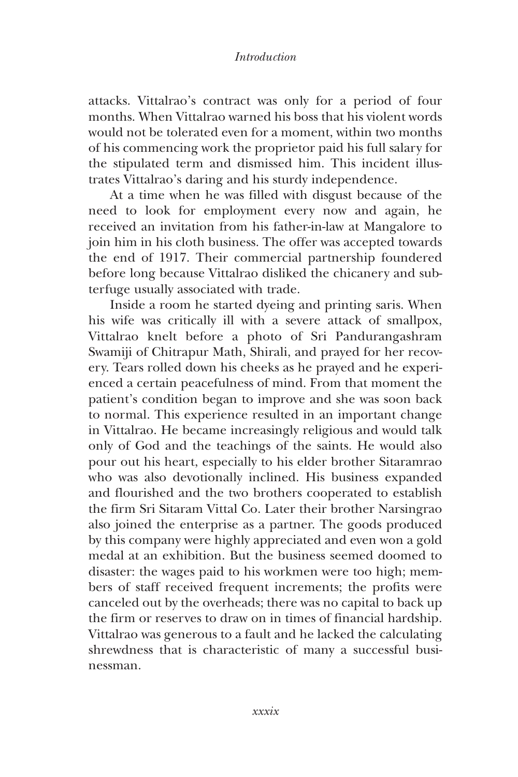attacks. Vittalrao's contract was only for a period of four months. When Vittalrao warned his boss that his violent words would not be tolerated even for a moment, within two months of his commencing work the proprietor paid his full salary for the stipulated term and dismissed him. This incident illustrates Vittalrao's daring and his sturdy independence.

At a time when he was filled with disgust because of the need to look for employment every now and again, he received an invitation from his father-in-law at Mangalore to join him in his cloth business. The offer was accepted towards the end of 1917. Their commercial partnership foundered before long because Vittalrao disliked the chicanery and subterfuge usually associated with trade.

Inside a room he started dyeing and printing saris. When his wife was critically ill with a severe attack of smallpox, Vittalrao knelt before a photo of Sri Pandurangashram Swamiji of Chitrapur Math, Shirali, and prayed for her recovery. Tears rolled down his cheeks as he prayed and he experienced a certain peacefulness of mind. From that moment the patient's condition began to improve and she was soon back to normal. This experience resulted in an important change in Vittalrao. He became increasingly religious and would talk only of God and the teachings of the saints. He would also pour out his heart, especially to his elder brother Sitaramrao who was also devotionally inclined. His business expanded and flourished and the two brothers cooperated to establish the firm Sri Sitaram Vittal Co. Later their brother Narsingrao also joined the enterprise as a partner. The goods produced by this company were highly appreciated and even won a gold medal at an exhibition. But the business seemed doomed to disaster: the wages paid to his workmen were too high; members of staff received frequent increments; the profits were canceled out by the overheads; there was no capital to back up the firm or reserves to draw on in times of financial hardship. Vittalrao was generous to a fault and he lacked the calculating shrewdness that is characteristic of many a successful businessman.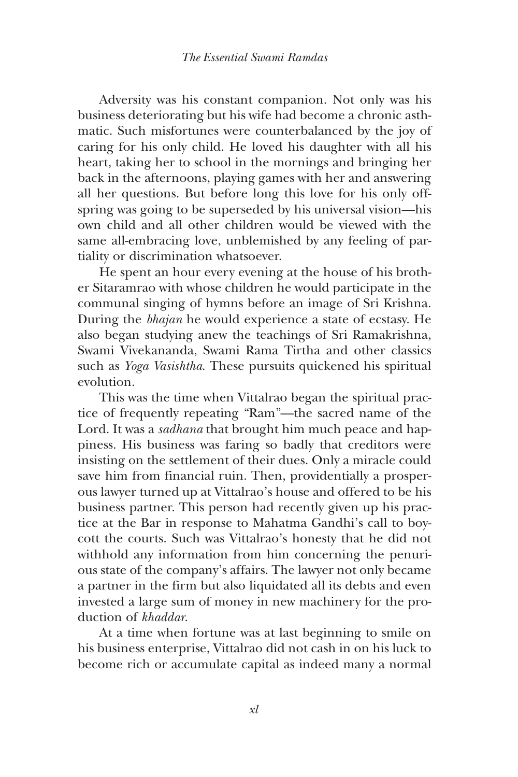Adversity was his constant companion. Not only was his business deteriorating but his wife had become a chronic asthmatic. Such misfortunes were counterbalanced by the joy of caring for his only child. He loved his daughter with all his heart, taking her to school in the mornings and bringing her back in the afternoons, playing games with her and answering all her questions. But before long this love for his only offspring was going to be superseded by his universal vision—his own child and all other children would be viewed with the same all-embracing love, unblemished by any feeling of partiality or discrimination whatsoever.

He spent an hour every evening at the house of his brother Sitaramrao with whose children he would participate in the communal singing of hymns before an image of Sri Krishna. During the *bhajan* he would experience a state of ecstasy. He also began studying anew the teachings of Sri Ramakrishna, Swami Vivekananda, Swami Rama Tirtha and other classics such as *Yoga Vasishtha*. These pursuits quickened his spiritual evolution.

This was the time when Vittalrao began the spiritual practice of frequently repeating "Ram"—the sacred name of the Lord. It was a *sadhana* that brought him much peace and happiness. His business was faring so badly that creditors were insisting on the settlement of their dues. Only a miracle could save him from financial ruin. Then, providentially a prosperous lawyer turned up at Vittalrao's house and offered to be his business partner. This person had recently given up his practice at the Bar in response to Mahatma Gandhi's call to boycott the courts. Such was Vittalrao's honesty that he did not withhold any information from him concerning the penurious state of the company's affairs. The lawyer not only became a partner in the firm but also liquidated all its debts and even invested a large sum of money in new machinery for the production of *khaddar*.

At a time when fortune was at last beginning to smile on his business enterprise, Vittalrao did not cash in on his luck to become rich or accumulate capital as indeed many a normal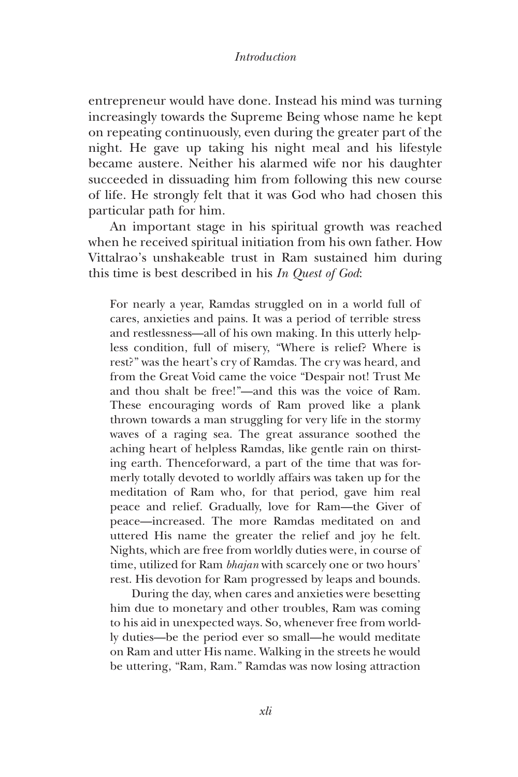entrepreneur would have done. Instead his mind was turning increasingly towards the Supreme Being whose name he kept on repeating continuously, even during the greater part of the night. He gave up taking his night meal and his lifestyle became austere. Neither his alarmed wife nor his daughter succeeded in dissuading him from following this new course of life. He strongly felt that it was God who had chosen this particular path for him.

An important stage in his spiritual growth was reached when he received spiritual initiation from his own father. How Vittalrao's unshakeable trust in Ram sustained him during this time is best described in his *In Quest of God*:

For nearly a year, Ramdas struggled on in a world full of cares, anxieties and pains. It was a period of terrible stress and restlessness—all of his own making. In this utterly helpless condition, full of misery, "Where is relief? Where is rest?" was the heart's cry of Ramdas. The cry was heard, and from the Great Void came the voice "Despair not! Trust Me and thou shalt be free!"—and this was the voice of Ram. These encouraging words of Ram proved like a plank thrown towards a man struggling for very life in the stormy waves of a raging sea. The great assurance soothed the aching heart of helpless Ramdas, like gentle rain on thirsting earth. Thenceforward, a part of the time that was formerly totally devoted to worldly affairs was taken up for the meditation of Ram who, for that period, gave him real peace and relief. Gradually, love for Ram—the Giver of peace—increased. The more Ramdas meditated on and uttered His name the greater the relief and joy he felt. Nights, which are free from worldly duties were, in course of time, utilized for Ram *bhajan* with scarcely one or two hours' rest. His devotion for Ram progressed by leaps and bounds.

During the day, when cares and anxieties were besetting him due to monetary and other troubles, Ram was coming to his aid in unexpected ways. So, whenever free from worldly duties—be the period ever so small—he would meditate on Ram and utter His name. Walking in the streets he would be uttering, "Ram, Ram." Ramdas was now losing attraction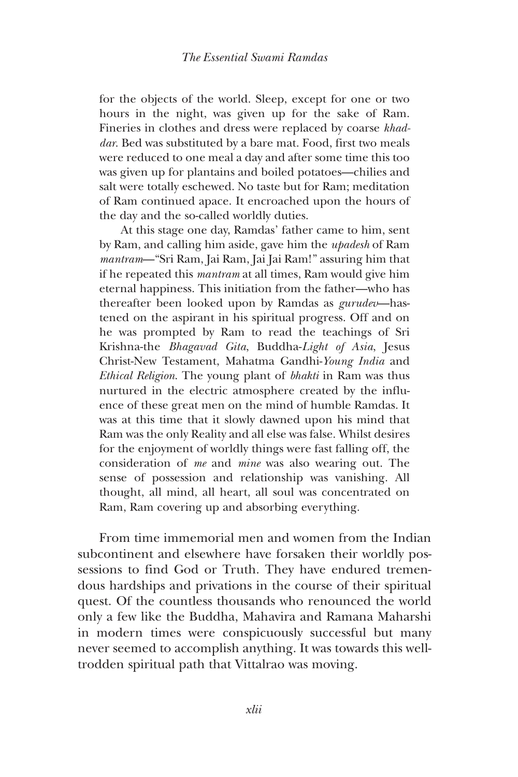for the objects of the world. Sleep, except for one or two hours in the night, was given up for the sake of Ram. Fineries in clothes and dress were replaced by coarse *khaddar*. Bed was substituted by a bare mat. Food, first two meals were reduced to one meal a day and after some time this too was given up for plantains and boiled potatoes—chilies and salt were totally eschewed. No taste but for Ram; meditation of Ram continued apace. It encroached upon the hours of the day and the so-called worldly duties.

At this stage one day, Ramdas' father came to him, sent by Ram, and calling him aside, gave him the *upadesh* of Ram *mantram*—"Sri Ram, Jai Ram, Jai Jai Ram!" assuring him that if he repeated this *mantram* at all times, Ram would give him eternal happiness. This initiation from the father—who has thereafter been looked upon by Ramdas as *gurudev*—hastened on the aspirant in his spiritual progress. Off and on he was prompted by Ram to read the teachings of Sri Krishna-the *Bhagavad Gita*, Buddha-*Light of Asia*, Jesus Christ-New Testament, Mahatma Gandhi-*Young India* and *Ethical Religion*. The young plant of *bhakti* in Ram was thus nurtured in the electric atmosphere created by the influence of these great men on the mind of humble Ramdas. It was at this time that it slowly dawned upon his mind that Ram was the only Reality and all else was false. Whilst desires for the enjoyment of worldly things were fast falling off, the consideration of *me* and *mine* was also wearing out. The sense of possession and relationship was vanishing. All thought, all mind, all heart, all soul was concentrated on Ram, Ram covering up and absorbing everything.

From time immemorial men and women from the Indian subcontinent and elsewhere have forsaken their worldly possessions to find God or Truth. They have endured tremendous hardships and privations in the course of their spiritual quest. Of the countless thousands who renounced the world only a few like the Buddha, Mahavira and Ramana Maharshi in modern times were conspicuously successful but many never seemed to accomplish anything. It was towards this welltrodden spiritual path that Vittalrao was moving.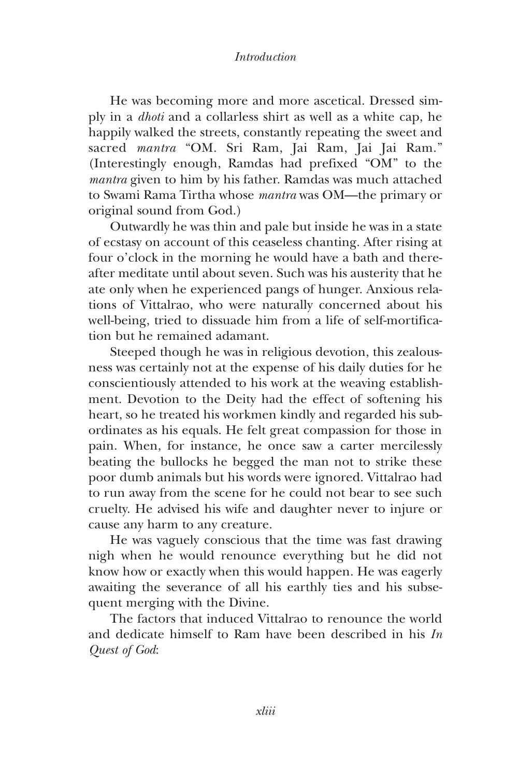He was becoming more and more ascetical. Dressed simply in a *dhoti* and a collarless shirt as well as a white cap, he happily walked the streets, constantly repeating the sweet and sacred *mantra* "OM. Sri Ram, Jai Ram, Jai Jai Ram." (Interestingly enough, Ramdas had prefixed "OM" to the *mantra* given to him by his father. Ramdas was much attached to Swami Rama Tirtha whose *mantra* was OM—the primary or original sound from God.)

Outwardly he was thin and pale but inside he was in a state of ecstasy on account of this ceaseless chanting. After rising at four o'clock in the morning he would have a bath and thereafter meditate until about seven. Such was his austerity that he ate only when he experienced pangs of hunger. Anxious relations of Vittalrao, who were naturally concerned about his well-being, tried to dissuade him from a life of self-mortification but he remained adamant.

Steeped though he was in religious devotion, this zealousness was certainly not at the expense of his daily duties for he conscientiously attended to his work at the weaving establishment. Devotion to the Deity had the effect of softening his heart, so he treated his workmen kindly and regarded his subordinates as his equals. He felt great compassion for those in pain. When, for instance, he once saw a carter mercilessly beating the bullocks he begged the man not to strike these poor dumb animals but his words were ignored. Vittalrao had to run away from the scene for he could not bear to see such cruelty. He advised his wife and daughter never to injure or cause any harm to any creature.

He was vaguely conscious that the time was fast drawing nigh when he would renounce everything but he did not know how or exactly when this would happen. He was eagerly awaiting the severance of all his earthly ties and his subsequent merging with the Divine.

The factors that induced Vittalrao to renounce the world and dedicate himself to Ram have been described in his *In Quest of God*: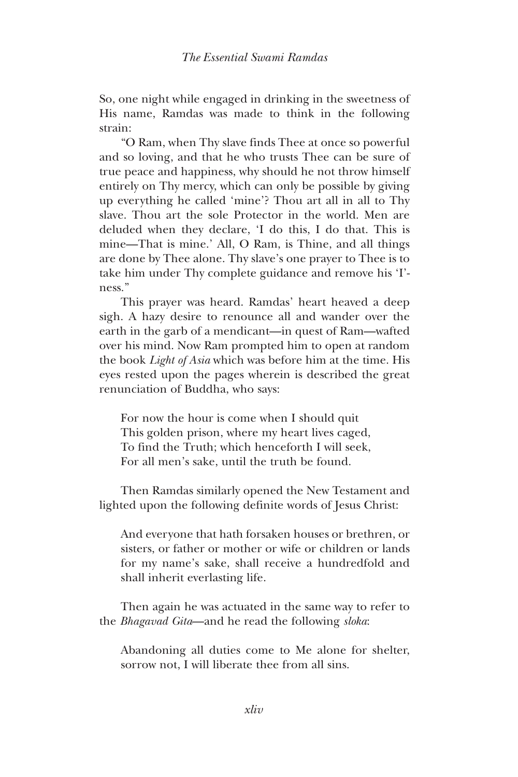So, one night while engaged in drinking in the sweetness of His name, Ramdas was made to think in the following strain:

"O Ram, when Thy slave finds Thee at once so powerful and so loving, and that he who trusts Thee can be sure of true peace and happiness, why should he not throw himself entirely on Thy mercy, which can only be possible by giving up everything he called 'mine'? Thou art all in all to Thy slave. Thou art the sole Protector in the world. Men are deluded when they declare, 'I do this, I do that. This is mine—That is mine.' All, O Ram, is Thine, and all things are done by Thee alone. Thy slave's one prayer to Thee is to take him under Thy complete guidance and remove his 'I' ness."

This prayer was heard. Ramdas' heart heaved a deep sigh. A hazy desire to renounce all and wander over the earth in the garb of a mendicant—in quest of Ram—wafted over his mind. Now Ram prompted him to open at random the book *Light of Asia* which was before him at the time. His eyes rested upon the pages wherein is described the great renunciation of Buddha, who says:

For now the hour is come when I should quit This golden prison, where my heart lives caged, To find the Truth; which henceforth I will seek, For all men's sake, until the truth be found.

Then Ramdas similarly opened the New Testament and lighted upon the following definite words of Jesus Christ:

And everyone that hath forsaken houses or brethren, or sisters, or father or mother or wife or children or lands for my name's sake, shall receive a hundredfold and shall inherit everlasting life.

Then again he was actuated in the same way to refer to the *Bhagavad Gita*—and he read the following *sloka*:

Abandoning all duties come to Me alone for shelter, sorrow not, I will liberate thee from all sins.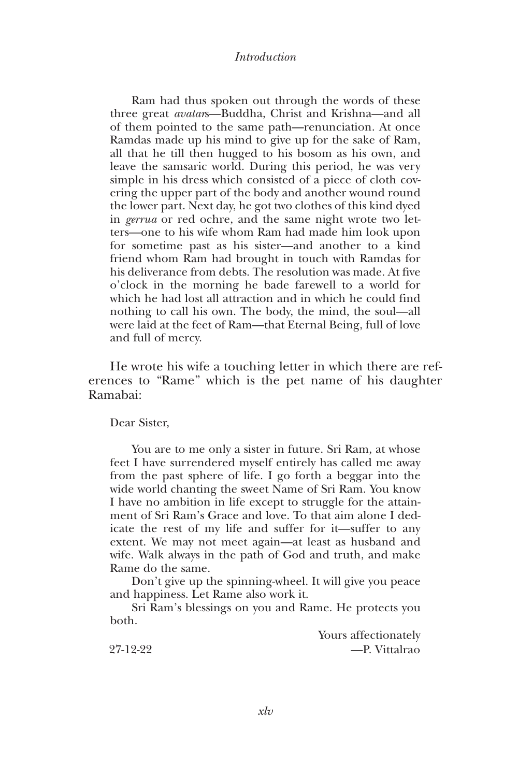Ram had thus spoken out through the words of these three great *avatar*s—Buddha, Christ and Krishna—and all of them pointed to the same path—renunciation. At once Ramdas made up his mind to give up for the sake of Ram, all that he till then hugged to his bosom as his own, and leave the samsaric world. During this period, he was very simple in his dress which consisted of a piece of cloth covering the upper part of the body and another wound round the lower part. Next day, he got two clothes of this kind dyed in *gerrua* or red ochre, and the same night wrote two letters—one to his wife whom Ram had made him look upon for sometime past as his sister—and another to a kind friend whom Ram had brought in touch with Ramdas for his deliverance from debts. The resolution was made. At five o'clock in the morning he bade farewell to a world for which he had lost all attraction and in which he could find nothing to call his own. The body, the mind, the soul—all were laid at the feet of Ram—that Eternal Being, full of love and full of mercy.

He wrote his wife a touching letter in which there are references to "Rame" which is the pet name of his daughter Ramabai:

Dear Sister,

You are to me only a sister in future. Sri Ram, at whose feet I have surrendered myself entirely has called me away from the past sphere of life. I go forth a beggar into the wide world chanting the sweet Name of Sri Ram. You know I have no ambition in life except to struggle for the attainment of Sri Ram's Grace and love. To that aim alone I dedicate the rest of my life and suffer for it—suffer to any extent. We may not meet again—at least as husband and wife. Walk always in the path of God and truth, and make Rame do the same.

Don't give up the spinning-wheel. It will give you peace and happiness. Let Rame also work it.

Sri Ram's blessings on you and Rame. He protects you both.

Yours affectionately 27-12-22 —P. Vittalrao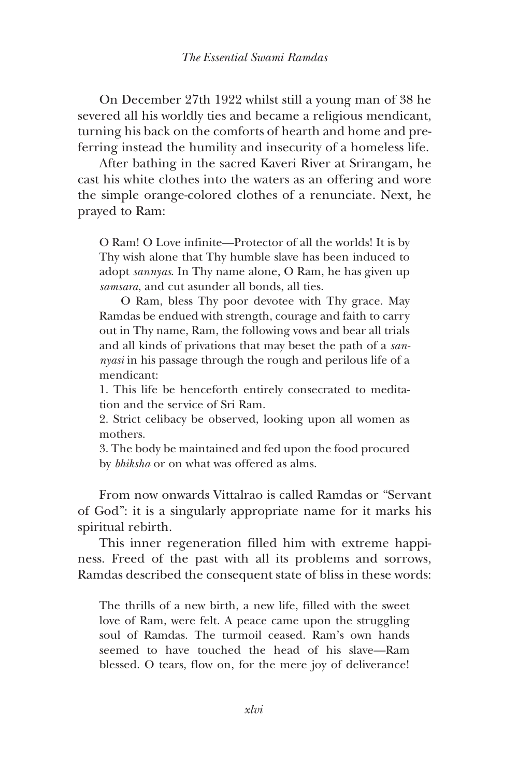On December 27th 1922 whilst still a young man of 38 he severed all his worldly ties and became a religious mendicant, turning his back on the comforts of hearth and home and preferring instead the humility and insecurity of a homeless life.

After bathing in the sacred Kaveri River at Srirangam, he cast his white clothes into the waters as an offering and wore the simple orange-colored clothes of a renunciate. Next, he prayed to Ram:

O Ram! O Love infinite—Protector of all the worlds! It is by Thy wish alone that Thy humble slave has been induced to adopt *sannyas*. In Thy name alone, O Ram, he has given up *samsara*, and cut asunder all bonds, all ties.

O Ram, bless Thy poor devotee with Thy grace. May Ramdas be endued with strength, courage and faith to carry out in Thy name, Ram, the following vows and bear all trials and all kinds of privations that may beset the path of a *sannyasi* in his passage through the rough and perilous life of a mendicant:

1. This life be henceforth entirely consecrated to meditation and the service of Sri Ram.

2. Strict celibacy be observed, looking upon all women as mothers.

3. The body be maintained and fed upon the food procured by *bhiksha* or on what was offered as alms.

From now onwards Vittalrao is called Ramdas or "Servant of God": it is a singularly appropriate name for it marks his spiritual rebirth.

This inner regeneration filled him with extreme happiness. Freed of the past with all its problems and sorrows, Ramdas described the consequent state of bliss in these words:

The thrills of a new birth, a new life, filled with the sweet love of Ram, were felt. A peace came upon the struggling soul of Ramdas. The turmoil ceased. Ram's own hands seemed to have touched the head of his slave—Ram blessed. O tears, flow on, for the mere joy of deliverance!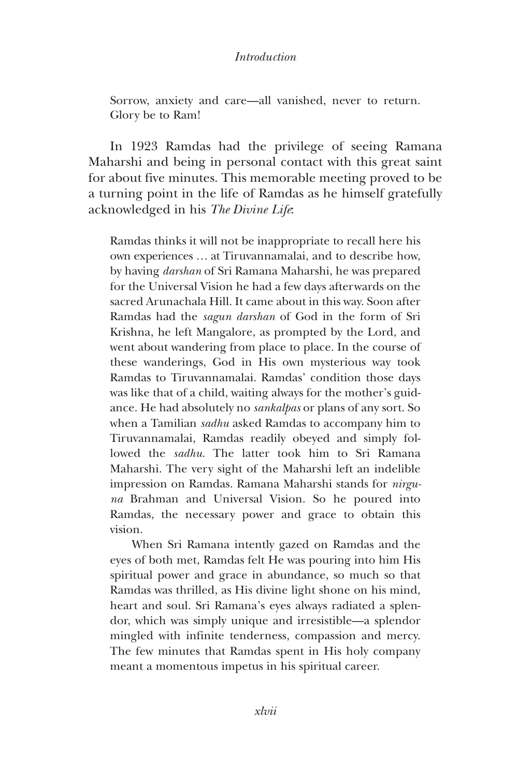Sorrow, anxiety and care—all vanished, never to return. Glory be to Ram!

In 1923 Ramdas had the privilege of seeing Ramana Maharshi and being in personal contact with this great saint for about five minutes. This memorable meeting proved to be a turning point in the life of Ramdas as he himself gratefully acknowledged in his *The Divine Life*:

Ramdas thinks it will not be inappropriate to recall here his own experiences … at Tiruvannamalai, and to describe how, by having *darshan* of Sri Ramana Maharshi, he was prepared for the Universal Vision he had a few days afterwards on the sacred Arunachala Hill. It came about in this way. Soon after Ramdas had the *sagun darshan* of God in the form of Sri Krishna, he left Mangalore, as prompted by the Lord, and went about wandering from place to place. In the course of these wanderings, God in His own mysterious way took Ramdas to Tiruvannamalai. Ramdas' condition those days was like that of a child, waiting always for the mother's guidance. He had absolutely no *sankalpas* or plans of any sort. So when a Tamilian *sadhu* asked Ramdas to accompany him to Tiruvannamalai, Ramdas readily obeyed and simply followed the *sadhu*. The latter took him to Sri Ramana Maharshi. The very sight of the Maharshi left an indelible impression on Ramdas. Ramana Maharshi stands for *nirguna* Brahman and Universal Vision. So he poured into Ramdas, the necessary power and grace to obtain this vision.

When Sri Ramana intently gazed on Ramdas and the eyes of both met, Ramdas felt He was pouring into him His spiritual power and grace in abundance, so much so that Ramdas was thrilled, as His divine light shone on his mind, heart and soul. Sri Ramana's eyes always radiated a splendor, which was simply unique and irresistible—a splendor mingled with infinite tenderness, compassion and mercy. The few minutes that Ramdas spent in His holy company meant a momentous impetus in his spiritual career.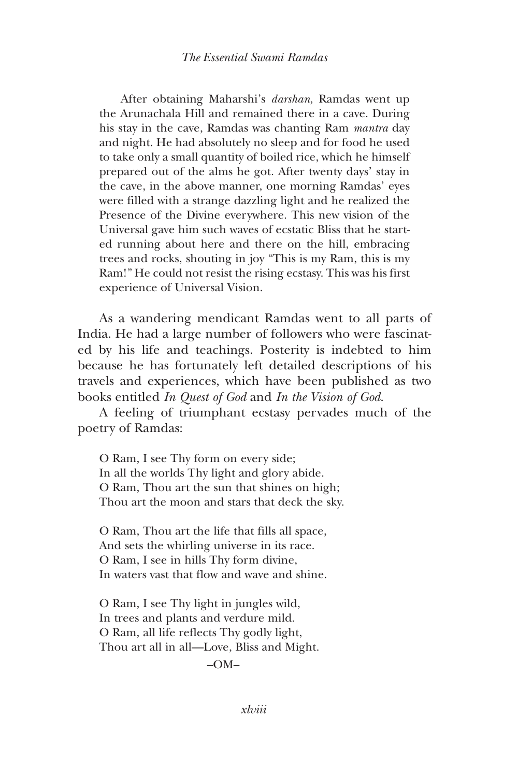After obtaining Maharshi's *darshan*, Ramdas went up the Arunachala Hill and remained there in a cave. During his stay in the cave, Ramdas was chanting Ram *mantra* day and night. He had absolutely no sleep and for food he used to take only a small quantity of boiled rice, which he himself prepared out of the alms he got. After twenty days' stay in the cave, in the above manner, one morning Ramdas' eyes were filled with a strange dazzling light and he realized the Presence of the Divine everywhere. This new vision of the Universal gave him such waves of ecstatic Bliss that he started running about here and there on the hill, embracing trees and rocks, shouting in joy "This is my Ram, this is my Ram!" He could not resist the rising ecstasy. This was his first experience of Universal Vision.

As a wandering mendicant Ramdas went to all parts of India. He had a large number of followers who were fascinated by his life and teachings. Posterity is indebted to him because he has fortunately left detailed descriptions of his travels and experiences, which have been published as two books entitled *In Quest of God* and *In the Vision of God*.

A feeling of triumphant ecstasy pervades much of the poetry of Ramdas:

O Ram, I see Thy form on every side; In all the worlds Thy light and glory abide. O Ram, Thou art the sun that shines on high; Thou art the moon and stars that deck the sky.

O Ram, Thou art the life that fills all space, And sets the whirling universe in its race. O Ram, I see in hills Thy form divine, In waters vast that flow and wave and shine.

O Ram, I see Thy light in jungles wild, In trees and plants and verdure mild. O Ram, all life reflects Thy godly light, Thou art all in all—Love, Bliss and Might.

 $-OM-$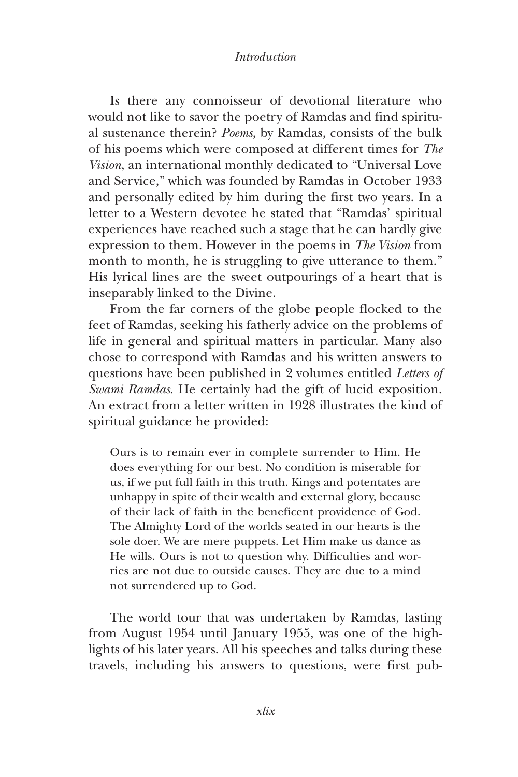Is there any connoisseur of devotional literature who would not like to savor the poetry of Ramdas and find spiritual sustenance therein? *Poems*, by Ramdas, consists of the bulk of his poems which were composed at different times for *The Vision*, an international monthly dedicated to "Universal Love and Service," which was founded by Ramdas in October 1933 and personally edited by him during the first two years. In a letter to a Western devotee he stated that "Ramdas' spiritual experiences have reached such a stage that he can hardly give expression to them. However in the poems in *The Vision* from month to month, he is struggling to give utterance to them." His lyrical lines are the sweet outpourings of a heart that is inseparably linked to the Divine.

From the far corners of the globe people flocked to the feet of Ramdas, seeking his fatherly advice on the problems of life in general and spiritual matters in particular. Many also chose to correspond with Ramdas and his written answers to questions have been published in 2 volumes entitled *Letters of Swami Ramdas*. He certainly had the gift of lucid exposition. An extract from a letter written in 1928 illustrates the kind of spiritual guidance he provided:

Ours is to remain ever in complete surrender to Him. He does everything for our best. No condition is miserable for us, if we put full faith in this truth. Kings and potentates are unhappy in spite of their wealth and external glory, because of their lack of faith in the beneficent providence of God. The Almighty Lord of the worlds seated in our hearts is the sole doer. We are mere puppets. Let Him make us dance as He wills. Ours is not to question why. Difficulties and worries are not due to outside causes. They are due to a mind not surrendered up to God.

The world tour that was undertaken by Ramdas, lasting from August 1954 until January 1955, was one of the highlights of his later years. All his speeches and talks during these travels, including his answers to questions, were first pub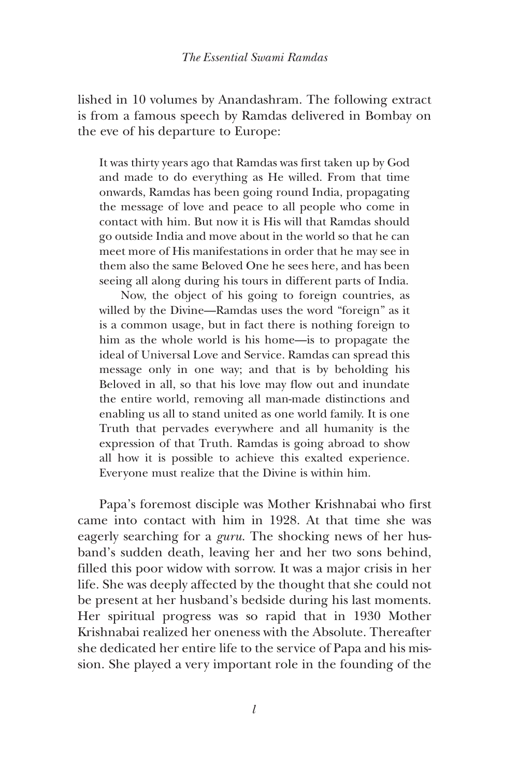lished in 10 volumes by Anandashram. The following extract is from a famous speech by Ramdas delivered in Bombay on the eve of his departure to Europe:

It was thirty years ago that Ramdas was first taken up by God and made to do everything as He willed. From that time onwards, Ramdas has been going round India, propagating the message of love and peace to all people who come in contact with him. But now it is His will that Ramdas should go outside India and move about in the world so that he can meet more of His manifestations in order that he may see in them also the same Beloved One he sees here, and has been seeing all along during his tours in different parts of India.

Now, the object of his going to foreign countries, as willed by the Divine—Ramdas uses the word "foreign" as it is a common usage, but in fact there is nothing foreign to him as the whole world is his home—is to propagate the ideal of Universal Love and Service. Ramdas can spread this message only in one way; and that is by beholding his Beloved in all, so that his love may flow out and inundate the entire world, removing all man-made distinctions and enabling us all to stand united as one world family. It is one Truth that pervades everywhere and all humanity is the expression of that Truth. Ramdas is going abroad to show all how it is possible to achieve this exalted experience. Everyone must realize that the Divine is within him.

Papa's foremost disciple was Mother Krishnabai who first came into contact with him in 1928. At that time she was eagerly searching for a *guru*. The shocking news of her husband's sudden death, leaving her and her two sons behind, filled this poor widow with sorrow. It was a major crisis in her life. She was deeply affected by the thought that she could not be present at her husband's bedside during his last moments. Her spiritual progress was so rapid that in 1930 Mother Krishnabai realized her oneness with the Absolute. Thereafter she dedicated her entire life to the service of Papa and his mission. She played a very important role in the founding of the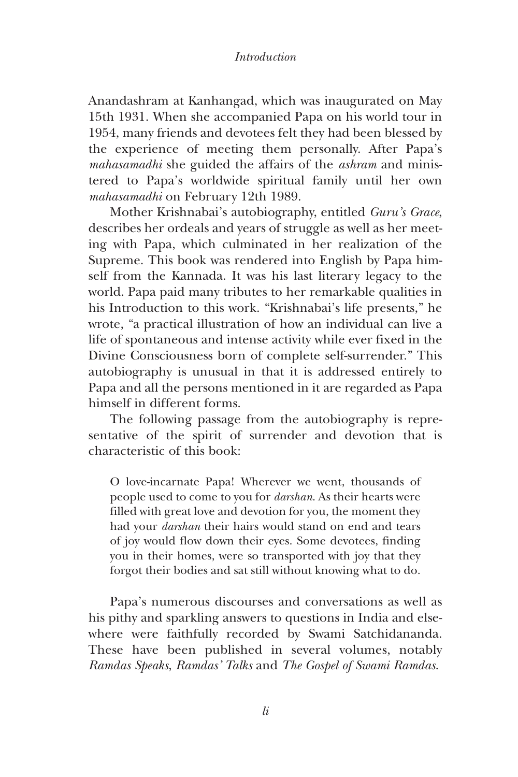Anandashram at Kanhangad, which was inaugurated on May 15th 1931. When she accompanied Papa on his world tour in 1954, many friends and devotees felt they had been blessed by the experience of meeting them personally. After Papa's *mahasamadhi* she guided the affairs of the *ashram* and ministered to Papa's worldwide spiritual family until her own *mahasamadhi* on February 12th 1989.

Mother Krishnabai's autobiography, entitled *Guru's Grace*, describes her ordeals and years of struggle as well as her meeting with Papa, which culminated in her realization of the Supreme. This book was rendered into English by Papa himself from the Kannada. It was his last literary legacy to the world. Papa paid many tributes to her remarkable qualities in his Introduction to this work. "Krishnabai's life presents," he wrote, "a practical illustration of how an individual can live a life of spontaneous and intense activity while ever fixed in the Divine Consciousness born of complete self-surrender." This autobiography is unusual in that it is addressed entirely to Papa and all the persons mentioned in it are regarded as Papa himself in different forms.

The following passage from the autobiography is representative of the spirit of surrender and devotion that is characteristic of this book:

O love-incarnate Papa! Wherever we went, thousands of people used to come to you for *darshan*. As their hearts were filled with great love and devotion for you, the moment they had your *darshan* their hairs would stand on end and tears of joy would flow down their eyes. Some devotees, finding you in their homes, were so transported with joy that they forgot their bodies and sat still without knowing what to do.

Papa's numerous discourses and conversations as well as his pithy and sparkling answers to questions in India and elsewhere were faithfully recorded by Swami Satchidananda. These have been published in several volumes, notably *Ramdas Speaks*, *Ramdas' Talks* and *The Gospel of Swami Ramdas*.